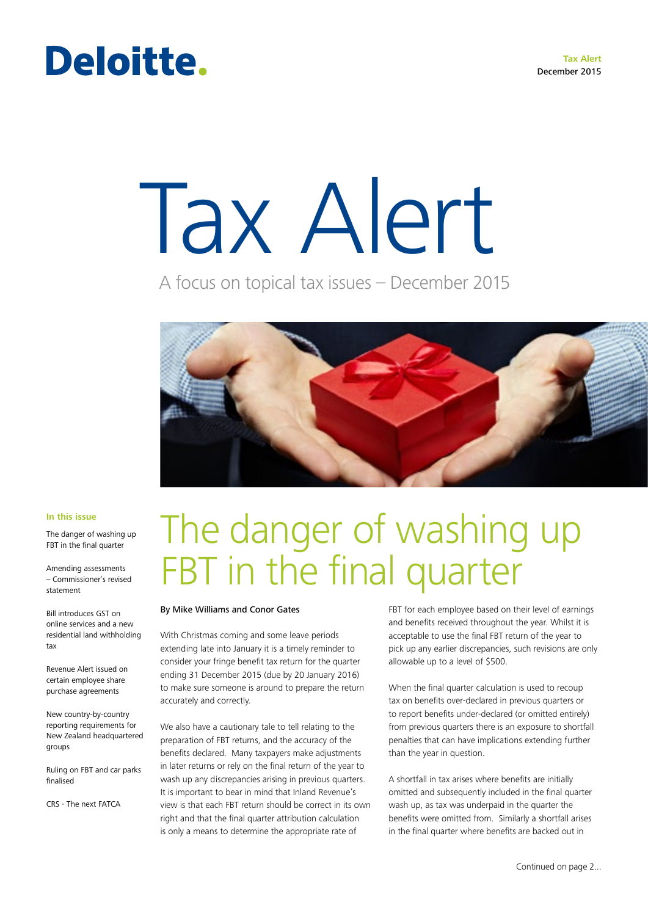### Deloitte.

# Tax Alert

A focus on topical tax issues – December 2015



#### **In this issue**

The danger of washing up FBT in the final quarter

Amending assessments – Commissioner's revised statement

Bill introduces GST on online services and a new residential land withholding tax

Revenue Alert issued on certain employee share purchase agreements

New country-by-country reporting requirements for New Zealand headquartered groups

Ruling on FBT and car parks finalised

CRS - The next FATCA

## The danger of washing up FBT in the final quarter

#### By Mike Williams and Conor Gates

With Christmas coming and some leave periods extending late into January it is a timely reminder to consider your fringe benefit tax return for the quarter ending 31 December 2015 (due by 20 January 2016) to make sure someone is around to prepare the return accurately and correctly.

We also have a cautionary tale to tell relating to the preparation of FBT returns, and the accuracy of the benefits declared. Many taxpayers make adjustments in later returns or rely on the final return of the year to wash up any discrepancies arising in previous quarters. It is important to bear in mind that Inland Revenue's view is that each FBT return should be correct in its own right and that the final quarter attribution calculation is only a means to determine the appropriate rate of

FBT for each employee based on their level of earnings and benefits received throughout the year. Whilst it is acceptable to use the final FBT return of the year to pick up any earlier discrepancies, such revisions are only allowable up to a level of \$500.

When the final quarter calculation is used to recoup tax on benefits over-declared in previous quarters or to report benefits under-declared (or omitted entirely) from previous quarters there is an exposure to shortfall penalties that can have implications extending further than the year in question.

A shortfall in tax arises where benefits are initially omitted and subsequently included in the final quarter wash up, as tax was underpaid in the quarter the benefits were omitted from. Similarly a shortfall arises in the final quarter where benefits are backed out in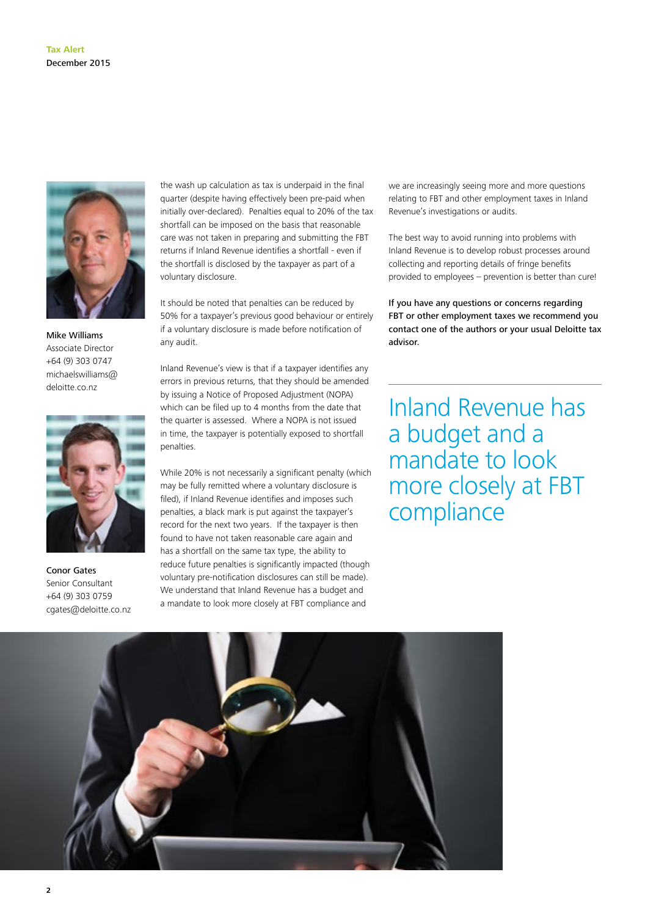

Mike Williams Associate Director +64 (9) 303 0747 michaelswilliams@ deloitte.co.nz



Conor Gates Senior Consultant +64 (9) 303 0759 cgates@deloitte.co.nz

the wash up calculation as tax is underpaid in the final quarter (despite having effectively been pre-paid when initially over-declared). Penalties equal to 20% of the tax shortfall can be imposed on the basis that reasonable care was not taken in preparing and submitting the FBT returns if Inland Revenue identifies a shortfall - even if the shortfall is disclosed by the taxpayer as part of a voluntary disclosure.

It should be noted that penalties can be reduced by 50% for a taxpayer's previous good behaviour or entirely if a voluntary disclosure is made before notification of any audit.

Inland Revenue's view is that if a taxpayer identifies any errors in previous returns, that they should be amended by issuing a Notice of Proposed Adjustment (NOPA) which can be filed up to 4 months from the date that the quarter is assessed. Where a NOPA is not issued in time, the taxpayer is potentially exposed to shortfall penalties.

While 20% is not necessarily a significant penalty (which may be fully remitted where a voluntary disclosure is filed), if Inland Revenue identifies and imposes such penalties, a black mark is put against the taxpayer's record for the next two years. If the taxpayer is then found to have not taken reasonable care again and has a shortfall on the same tax type, the ability to reduce future penalties is significantly impacted (though voluntary pre-notification disclosures can still be made). We understand that Inland Revenue has a budget and a mandate to look more closely at FBT compliance and

we are increasingly seeing more and more questions relating to FBT and other employment taxes in Inland Revenue's investigations or audits.

The best way to avoid running into problems with Inland Revenue is to develop robust processes around collecting and reporting details of fringe benefits provided to employees – prevention is better than cure!

If you have any questions or concerns regarding FBT or other employment taxes we recommend you contact one of the authors or your usual Deloitte tax advisor.

Inland Revenue has a budget and a mandate to look more closely at FBT compliance

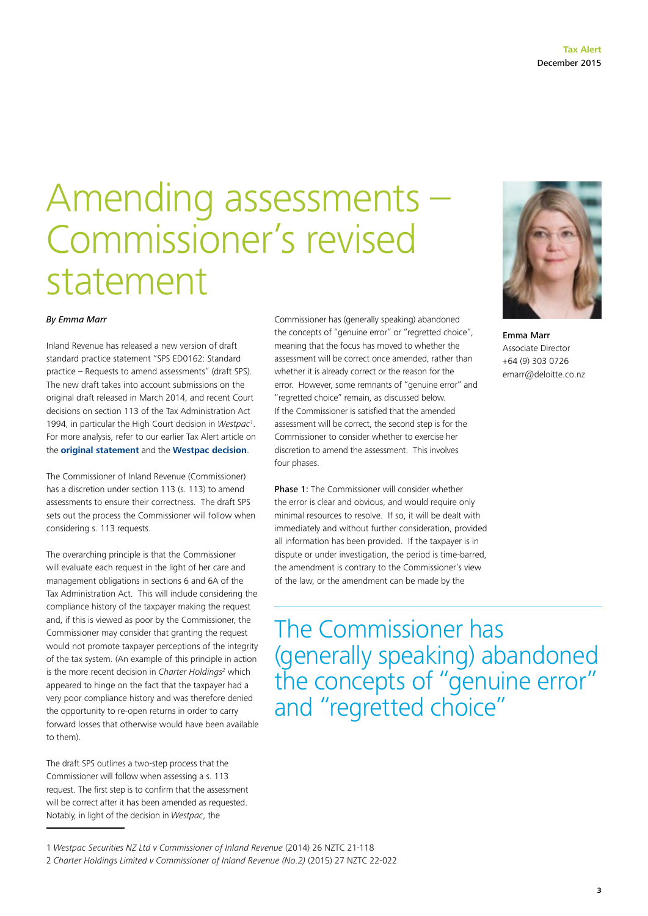### Amending assessments – Commissioner's revised statement

#### *By Emma Marr*

Inland Revenue has released a new version of draft standard practice statement "SPS ED0162: Standard practice – Requests to amend assessments" (draft SPS). The new draft takes into account submissions on the original draft released in March 2014, and recent Court decisions on section 113 of the Tax Administration Act 1994, in particular the High Court decision in *Westpac1* . For more analysis, refer to our earlier Tax Alert article on the **[original statement](http://www.ird.govt.nz/technical-tax/standard-practice/investigations/sps-0703-requeststoamendassessments.html)** and the **[Westpac decision](http://www.nzlii.org/cgi-bin/sinodisp/nz/cases/NZHC/2014/3377.html)**.

The Commissioner of Inland Revenue (Commissioner) has a discretion under section 113 (s. 113) to amend assessments to ensure their correctness. The draft SPS sets out the process the Commissioner will follow when considering s. 113 requests.

The overarching principle is that the Commissioner will evaluate each request in the light of her care and management obligations in sections 6 and 6A of the Tax Administration Act. This will include considering the compliance history of the taxpayer making the request and, if this is viewed as poor by the Commissioner, the Commissioner may consider that granting the request would not promote taxpayer perceptions of the integrity of the tax system. (An example of this principle in action is the more recent decision in *Charter Holdings<sup>2</sup>* which appeared to hinge on the fact that the taxpayer had a very poor compliance history and was therefore denied the opportunity to re-open returns in order to carry forward losses that otherwise would have been available to them).

The draft SPS outlines a two-step process that the Commissioner will follow when assessing a s. 113 request. The first step is to confirm that the assessment will be correct after it has been amended as requested. Notably, in light of the decision in *Westpac*, the

Commissioner has (generally speaking) abandoned the concepts of "genuine error" or "regretted choice", meaning that the focus has moved to whether the assessment will be correct once amended, rather than whether it is already correct or the reason for the error. However, some remnants of "genuine error" and "regretted choice" remain, as discussed below. If the Commissioner is satisfied that the amended assessment will be correct, the second step is for the Commissioner to consider whether to exercise her discretion to amend the assessment. This involves four phases.

Phase 1: The Commissioner will consider whether the error is clear and obvious, and would require only minimal resources to resolve. If so, it will be dealt with immediately and without further consideration, provided all information has been provided. If the taxpayer is in dispute or under investigation, the period is time-barred, the amendment is contrary to the Commissioner's view of the law, or the amendment can be made by the

The Commissioner has (generally speaking) abandoned the concepts of "genuine error" and "regretted choice"



Emma Marr Associate Director +64 (9) 303 0726 emarr@deloitte.co.nz

<sup>1</sup> *Westpac Securities NZ Ltd v Commissioner of Inland Revenue* (2014) 26 NZTC 21-118

<sup>2</sup> *Charter Holdings Limited v Commissioner of Inland Revenue (No.2)* (2015) 27 NZTC 22-022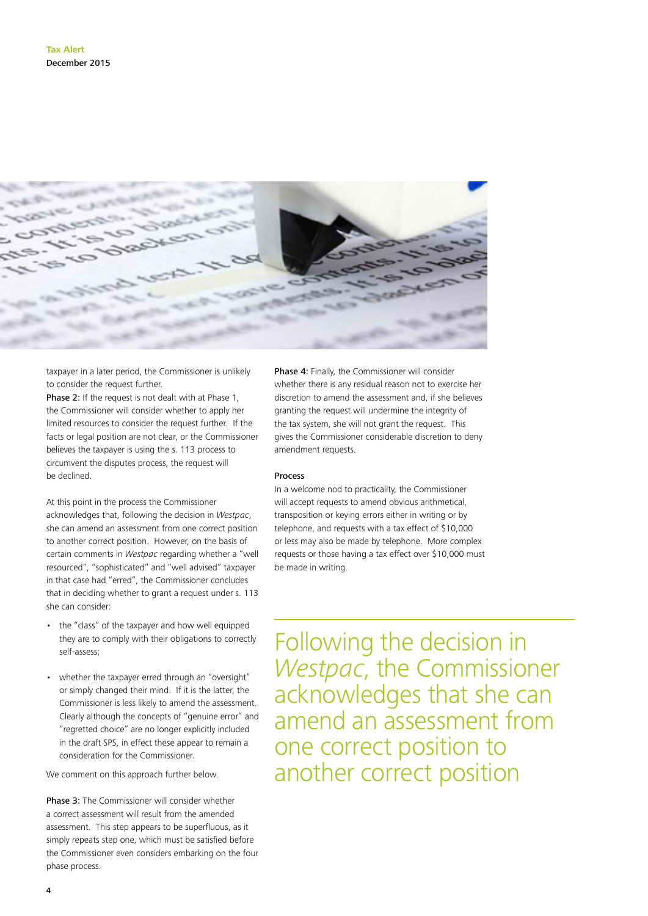

taxpayer in a later period, the Commissioner is unlikely to consider the request further.

Phase 2: If the request is not dealt with at Phase 1, the Commissioner will consider whether to apply her limited resources to consider the request further. If the facts or legal position are not clear, or the Commissioner believes the taxpayer is using the s. 113 process to circumvent the disputes process, the request will be declined.

At this point in the process the Commissioner acknowledges that, following the decision in *Westpac*, she can amend an assessment from one correct position to another correct position. However, on the basis of certain comments in *Westpac* regarding whether a "well resourced", "sophisticated" and "well advised" taxpayer in that case had "erred", the Commissioner concludes that in deciding whether to grant a request under s. 113 she can consider:

- the "class" of the taxpayer and how well equipped they are to comply with their obligations to correctly self-assess;
- whether the taxpayer erred through an "oversight" or simply changed their mind. If it is the latter, the Commissioner is less likely to amend the assessment. Clearly although the concepts of "genuine error" and "regretted choice" are no longer explicitly included in the draft SPS, in effect these appear to remain a consideration for the Commissioner.

We comment on this approach further below.

Phase 3: The Commissioner will consider whether a correct assessment will result from the amended assessment. This step appears to be superfluous, as it simply repeats step one, which must be satisfied before the Commissioner even considers embarking on the four phase process.

Phase 4: Finally, the Commissioner will consider whether there is any residual reason not to exercise her discretion to amend the assessment and, if she believes granting the request will undermine the integrity of the tax system, she will not grant the request. This gives the Commissioner considerable discretion to deny amendment requests.

#### **Process**

In a welcome nod to practicality, the Commissioner will accept requests to amend obvious arithmetical, transposition or keying errors either in writing or by telephone, and requests with a tax effect of \$10,000 or less may also be made by telephone. More complex requests or those having a tax effect over \$10,000 must be made in writing.

Following the decision in *Westpac*, the Commissioner acknowledges that she can amend an assessment from one correct position to another correct position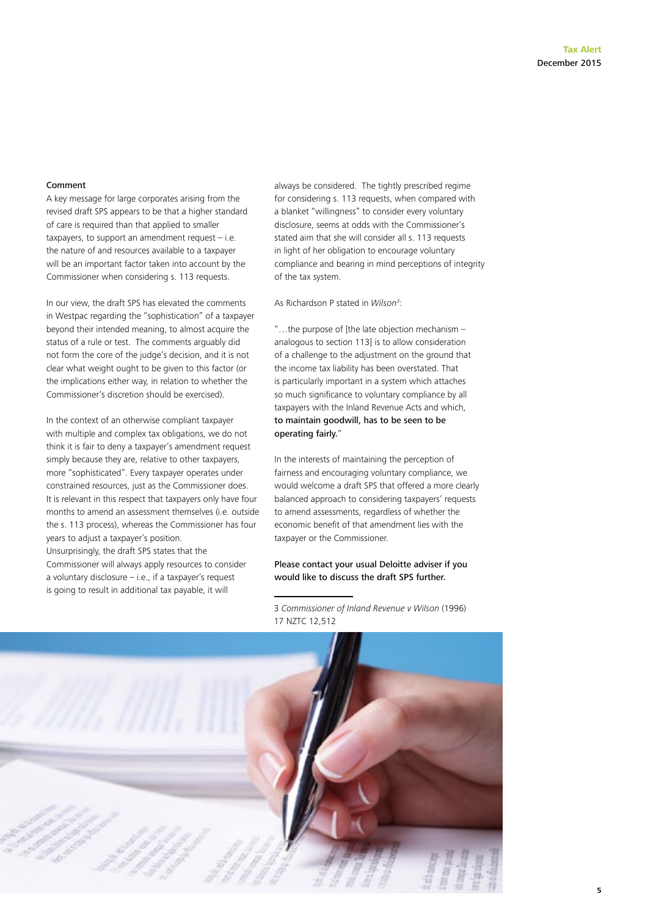#### Comment

A key message for large corporates arising from the revised draft SPS appears to be that a higher standard of care is required than that applied to smaller taxpayers, to support an amendment request – i.e. the nature of and resources available to a taxpayer will be an important factor taken into account by the Commissioner when considering s. 113 requests.

In our view, the draft SPS has elevated the comments in Westpac regarding the "sophistication" of a taxpayer beyond their intended meaning, to almost acquire the status of a rule or test. The comments arguably did not form the core of the judge's decision, and it is not clear what weight ought to be given to this factor (or the implications either way, in relation to whether the Commissioner's discretion should be exercised).

In the context of an otherwise compliant taxpayer with multiple and complex tax obligations, we do not think it is fair to deny a taxpayer's amendment request simply because they are, relative to other taxpayers, more "sophisticated". Every taxpayer operates under constrained resources, just as the Commissioner does. It is relevant in this respect that taxpayers only have four months to amend an assessment themselves (i.e. outside the s. 113 process), whereas the Commissioner has four years to adjust a taxpayer's position. Unsurprisingly, the draft SPS states that the Commissioner will always apply resources to consider a voluntary disclosure – i.e., if a taxpayer's request

is going to result in additional tax payable, it will

always be considered. The tightly prescribed regime for considering s. 113 requests, when compared with a blanket "willingness" to consider every voluntary disclosure, seems at odds with the Commissioner's stated aim that she will consider all s. 113 requests in light of her obligation to encourage voluntary compliance and bearing in mind perceptions of integrity of the tax system.

As Richardson P stated in *Wilson3* :

"…the purpose of [the late objection mechanism – analogous to section 113] is to allow consideration of a challenge to the adjustment on the ground that the income tax liability has been overstated. That is particularly important in a system which attaches so much significance to voluntary compliance by all taxpayers with the Inland Revenue Acts and which, to maintain goodwill, has to be seen to be operating fairly."

In the interests of maintaining the perception of fairness and encouraging voluntary compliance, we would welcome a draft SPS that offered a more clearly balanced approach to considering taxpayers' requests to amend assessments, regardless of whether the economic benefit of that amendment lies with the taxpayer or the Commissioner.

#### Please contact your usual Deloitte adviser if you would like to discuss the draft SPS further.

3 *Commissioner of Inland Revenue v Wilson* (1996) 17 NZTC 12,512

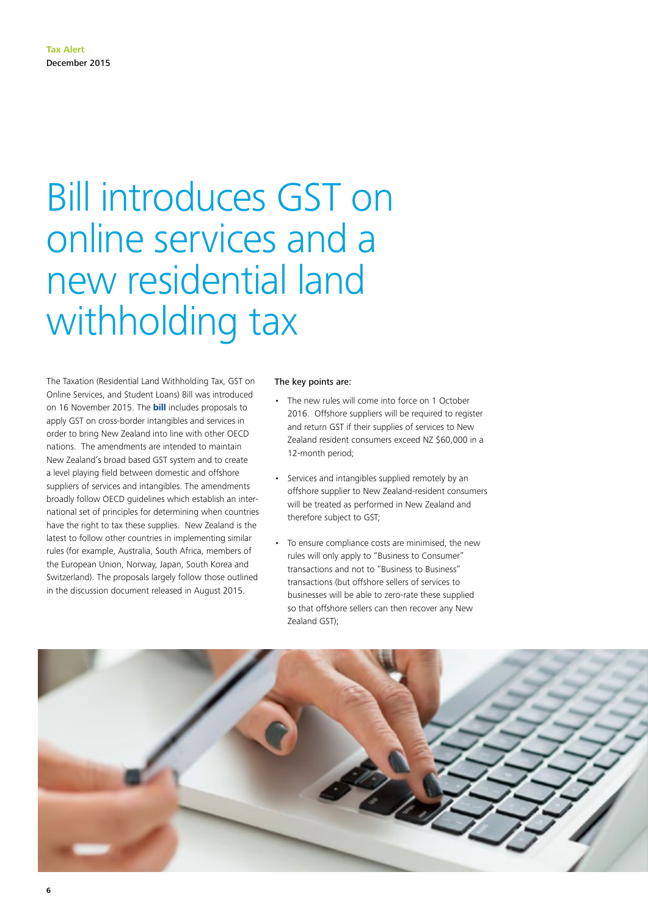### Bill introduces GST on online services and a new residential land withholding tax

The Taxation (Residential Land Withholding Tax, GST on Online Services, and Student Loans) Bill was introduced on 16 November 2015. The **[bill](http://legislation.govt.nz/bill/government/2015/0093/latest/DLM6656113.html)** includes proposals to apply GST on cross-border intangibles and services in order to bring New Zealand into line with other OECD nations. The amendments are intended to maintain New Zealand's broad based GST system and to create a level playing field between domestic and offshore suppliers of services and intangibles. The amendments broadly follow OECD guidelines which establish an international set of principles for determining when countries have the right to tax these supplies. New Zealand is the latest to follow other countries in implementing similar rules (for example, Australia, South Africa, members of the European Union, Norway, Japan, South Korea and Switzerland). The proposals largely follow those outlined in the discussion document released in August 2015.

#### The key points are:

- The new rules will come into force on 1 October 2016. Offshore suppliers will be required to register and return GST if their supplies of services to New Zealand resident consumers exceed NZ \$60,000 in a 12-month period;
- Services and intangibles supplied remotely by an offshore supplier to New Zealand-resident consumers will be treated as performed in New Zealand and therefore subject to GST;
- To ensure compliance costs are minimised, the new rules will only apply to "Business to Consumer" transactions and not to "Business to Business" transactions (but offshore sellers of services to businesses will be able to zero-rate these supplied so that offshore sellers can then recover any New Zealand GST);

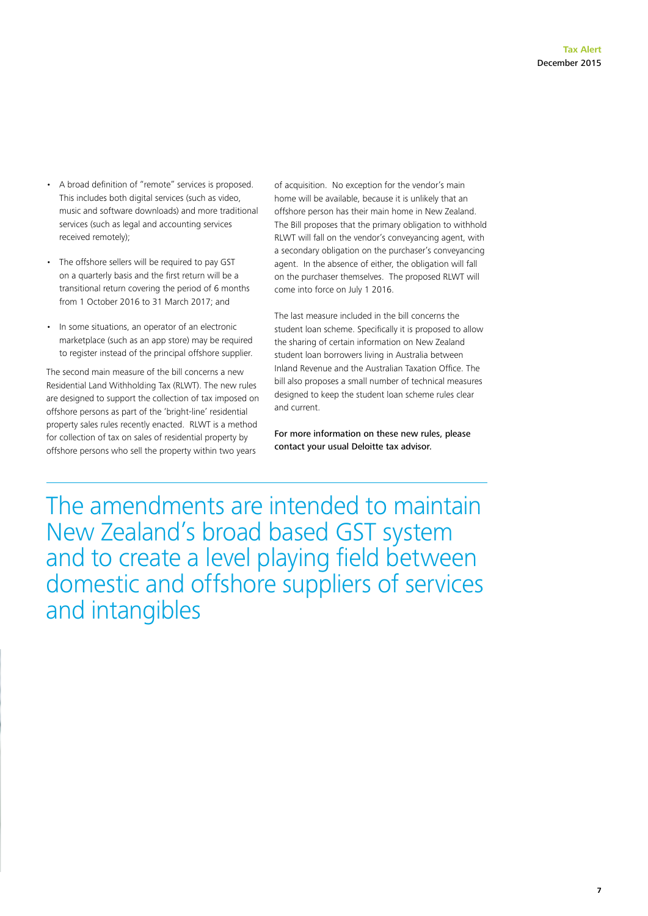- A broad definition of "remote" services is proposed. This includes both digital services (such as video, music and software downloads) and more traditional services (such as legal and accounting services received remotely);
- The offshore sellers will be required to pay GST on a quarterly basis and the first return will be a transitional return covering the period of 6 months from 1 October 2016 to 31 March 2017; and
- In some situations, an operator of an electronic marketplace (such as an app store) may be required to register instead of the principal offshore supplier.

The second main measure of the bill concerns a new Residential Land Withholding Tax (RLWT). The new rules are designed to support the collection of tax imposed on offshore persons as part of the 'bright-line' residential property sales rules recently enacted. RLWT is a method for collection of tax on sales of residential property by offshore persons who sell the property within two years

of acquisition. No exception for the vendor's main home will be available, because it is unlikely that an offshore person has their main home in New Zealand. The Bill proposes that the primary obligation to withhold RLWT will fall on the vendor's conveyancing agent, with a secondary obligation on the purchaser's conveyancing agent. In the absence of either, the obligation will fall on the purchaser themselves. The proposed RLWT will come into force on July 1 2016.

The last measure included in the bill concerns the student loan scheme. Specifically it is proposed to allow the sharing of certain information on New Zealand student loan borrowers living in Australia between Inland Revenue and the Australian Taxation Office. The bill also proposes a small number of technical measures designed to keep the student loan scheme rules clear and current.

For more information on these new rules, please contact your usual Deloitte tax advisor.

The amendments are intended to maintain New Zealand's broad based GST system and to create a level playing field between domestic and offshore suppliers of services and intangibles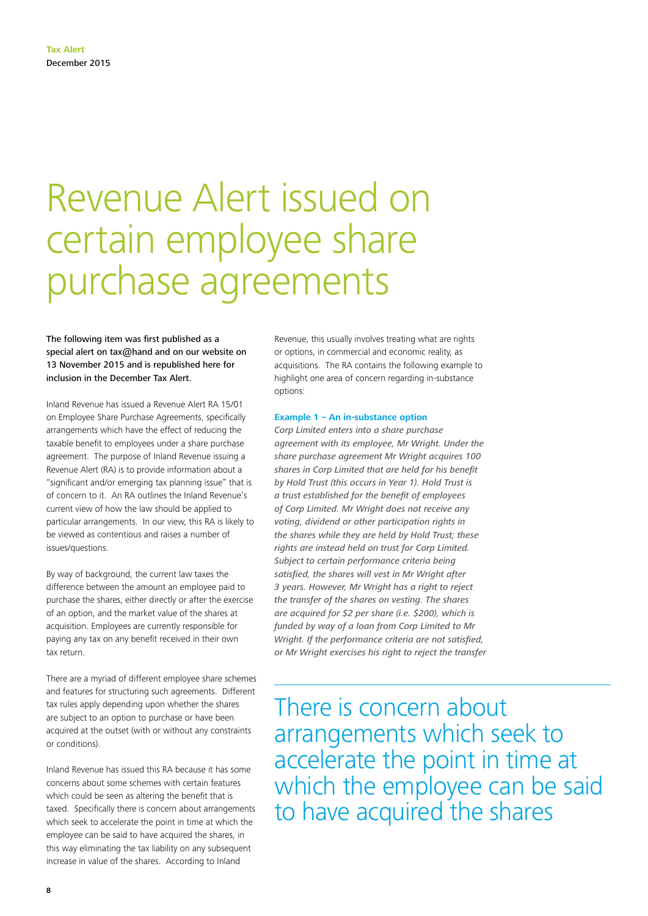### Revenue Alert issued on certain employee share purchase agreements

The following item was first published as a special alert on tax@hand and on our website on 13 November 2015 and is republished here for inclusion in the December Tax Alert.

Inland Revenue has issued a Revenue Alert RA 15/01 on Employee Share Purchase Agreements, specifically arrangements which have the effect of reducing the taxable benefit to employees under a share purchase agreement. The purpose of Inland Revenue issuing a Revenue Alert (RA) is to provide information about a "significant and/or emerging tax planning issue" that is of concern to it. An RA outlines the Inland Revenue's current view of how the law should be applied to particular arrangements. In our view, this RA is likely to be viewed as contentious and raises a number of issues/questions.

By way of background, the current law taxes the difference between the amount an employee paid to purchase the shares, either directly or after the exercise of an option, and the market value of the shares at acquisition. Employees are currently responsible for paying any tax on any benefit received in their own tax return.

There are a myriad of different employee share schemes and features for structuring such agreements. Different tax rules apply depending upon whether the shares are subject to an option to purchase or have been acquired at the outset (with or without any constraints or conditions).

Inland Revenue has issued this RA because it has some concerns about some schemes with certain features which could be seen as altering the benefit that is taxed. Specifically there is concern about arrangements which seek to accelerate the point in time at which the employee can be said to have acquired the shares, in this way eliminating the tax liability on any subsequent increase in value of the shares. According to Inland

Revenue, this usually involves treating what are rights or options, in commercial and economic reality, as acquisitions. The RA contains the following example to highlight one area of concern regarding in-substance options:

#### **Example 1 – An in-substance option**

*Corp Limited enters into a share purchase agreement with its employee, Mr Wright. Under the share purchase agreement Mr Wright acquires 100 shares in Corp Limited that are held for his benefit by Hold Trust (this occurs in Year 1). Hold Trust is a trust established for the benefit of employees of Corp Limited. Mr Wright does not receive any voting, dividend or other participation rights in the shares while they are held by Hold Trust; these rights are instead held on trust for Corp Limited. Subject to certain performance criteria being satisfied, the shares will vest in Mr Wright after 3 years. However, Mr Wright has a right to reject the transfer of the shares on vesting. The shares are acquired for \$2 per share (i.e. \$200), which is funded by way of a loan from Corp Limited to Mr Wright. If the performance criteria are not satisfied, or Mr Wright exercises his right to reject the transfer* 

There is concern about arrangements which seek to accelerate the point in time at which the employee can be said to have acquired the shares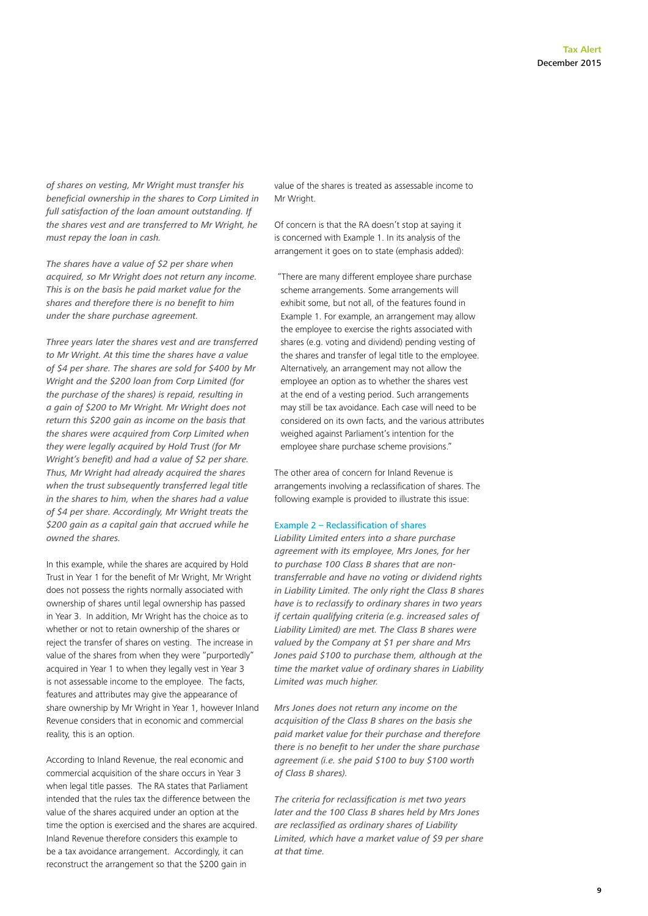*of shares on vesting, Mr Wright must transfer his beneficial ownership in the shares to Corp Limited in full satisfaction of the loan amount outstanding. If the shares vest and are transferred to Mr Wright, he must repay the loan in cash.* 

*The shares have a value of \$2 per share when acquired, so Mr Wright does not return any income. This is on the basis he paid market value for the shares and therefore there is no benefit to him under the share purchase agreement.* 

*Three years later the shares vest and are transferred to Mr Wright. At this time the shares have a value of \$4 per share. The shares are sold for \$400 by Mr Wright and the \$200 loan from Corp Limited (for the purchase of the shares) is repaid, resulting in a gain of \$200 to Mr Wright. Mr Wright does not return this \$200 gain as income on the basis that the shares were acquired from Corp Limited when they were legally acquired by Hold Trust (for Mr Wright's benefit) and had a value of \$2 per share. Thus, Mr Wright had already acquired the shares*  when the trust subsequently transferred legal title *in the shares to him, when the shares had a value of \$4 per share. Accordingly, Mr Wright treats the \$200 gain as a capital gain that accrued while he owned the shares.*

In this example, while the shares are acquired by Hold Trust in Year 1 for the benefit of Mr Wright, Mr Wright does not possess the rights normally associated with ownership of shares until legal ownership has passed in Year 3. In addition, Mr Wright has the choice as to whether or not to retain ownership of the shares or reject the transfer of shares on vesting. The increase in value of the shares from when they were "purportedly" acquired in Year 1 to when they legally vest in Year 3 is not assessable income to the employee. The facts, features and attributes may give the appearance of share ownership by Mr Wright in Year 1, however Inland Revenue considers that in economic and commercial reality, this is an option.

According to Inland Revenue, the real economic and commercial acquisition of the share occurs in Year 3 when legal title passes. The RA states that Parliament intended that the rules tax the difference between the value of the shares acquired under an option at the time the option is exercised and the shares are acquired. Inland Revenue therefore considers this example to be a tax avoidance arrangement. Accordingly, it can reconstruct the arrangement so that the \$200 gain in

value of the shares is treated as assessable income to Mr Wright.

Of concern is that the RA doesn't stop at saying it is concerned with Example 1. In its analysis of the arrangement it goes on to state (emphasis added):

"There are many different employee share purchase scheme arrangements. Some arrangements will exhibit some, but not all, of the features found in Example 1. For example, an arrangement may allow the employee to exercise the rights associated with shares (e.g. voting and dividend) pending vesting of the shares and transfer of legal title to the employee. Alternatively, an arrangement may not allow the employee an option as to whether the shares vest at the end of a vesting period. Such arrangements may still be tax avoidance. Each case will need to be considered on its own facts, and the various attributes weighed against Parliament's intention for the employee share purchase scheme provisions."

The other area of concern for Inland Revenue is arrangements involving a reclassification of shares. The following example is provided to illustrate this issue:

#### Example 2 – Reclassification of shares

*Liability Limited enters into a share purchase agreement with its employee, Mrs Jones, for her to purchase 100 Class B shares that are nontransferrable and have no voting or dividend rights in Liability Limited. The only right the Class B shares have is to reclassify to ordinary shares in two years if certain qualifying criteria (e.g. increased sales of Liability Limited) are met. The Class B shares were valued by the Company at \$1 per share and Mrs Jones paid \$100 to purchase them, although at the time the market value of ordinary shares in Liability Limited was much higher.* 

*Mrs Jones does not return any income on the acquisition of the Class B shares on the basis she paid market value for their purchase and therefore there is no benefit to her under the share purchase agreement (i.e. she paid \$100 to buy \$100 worth of Class B shares).* 

*The criteria for reclassification is met two years later and the 100 Class B shares held by Mrs Jones are reclassified as ordinary shares of Liability Limited, which have a market value of \$9 per share at that time.*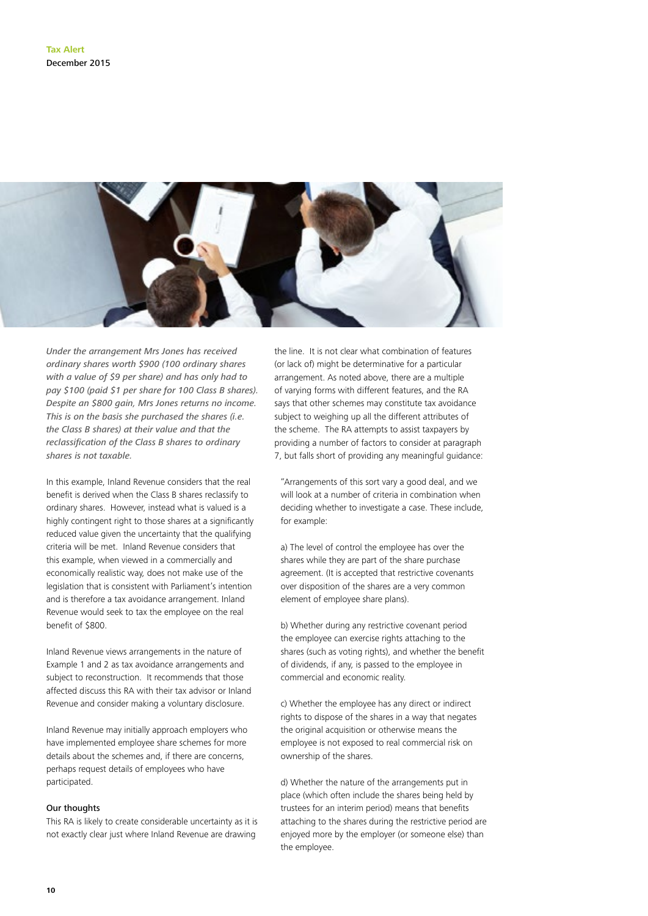

*Under the arrangement Mrs Jones has received ordinary shares worth \$900 (100 ordinary shares with a value of \$9 per share) and has only had to pay \$100 (paid \$1 per share for 100 Class B shares). Despite an \$800 gain, Mrs Jones returns no income. This is on the basis she purchased the shares (i.e. the Class B shares) at their value and that the reclassification of the Class B shares to ordinary shares is not taxable.*

In this example, Inland Revenue considers that the real benefit is derived when the Class B shares reclassify to ordinary shares. However, instead what is valued is a highly contingent right to those shares at a significantly reduced value given the uncertainty that the qualifying criteria will be met. Inland Revenue considers that this example, when viewed in a commercially and economically realistic way, does not make use of the legislation that is consistent with Parliament's intention and is therefore a tax avoidance arrangement. Inland Revenue would seek to tax the employee on the real benefit of \$800.

Inland Revenue views arrangements in the nature of Example 1 and 2 as tax avoidance arrangements and subject to reconstruction. It recommends that those affected discuss this RA with their tax advisor or Inland Revenue and consider making a voluntary disclosure.

Inland Revenue may initially approach employers who have implemented employee share schemes for more details about the schemes and, if there are concerns, perhaps request details of employees who have participated.

#### Our thoughts

This RA is likely to create considerable uncertainty as it is not exactly clear just where Inland Revenue are drawing

the line. It is not clear what combination of features (or lack of) might be determinative for a particular arrangement. As noted above, there are a multiple of varying forms with different features, and the RA says that other schemes may constitute tax avoidance subject to weighing up all the different attributes of the scheme. The RA attempts to assist taxpayers by providing a number of factors to consider at paragraph 7, but falls short of providing any meaningful guidance:

"Arrangements of this sort vary a good deal, and we will look at a number of criteria in combination when deciding whether to investigate a case. These include, for example:

a) The level of control the employee has over the shares while they are part of the share purchase agreement. (It is accepted that restrictive covenants over disposition of the shares are a very common element of employee share plans).

b) Whether during any restrictive covenant period the employee can exercise rights attaching to the shares (such as voting rights), and whether the benefit of dividends, if any, is passed to the employee in commercial and economic reality.

c) Whether the employee has any direct or indirect rights to dispose of the shares in a way that negates the original acquisition or otherwise means the employee is not exposed to real commercial risk on ownership of the shares.

d) Whether the nature of the arrangements put in place (which often include the shares being held by trustees for an interim period) means that benefits attaching to the shares during the restrictive period are enjoyed more by the employer (or someone else) than the employee.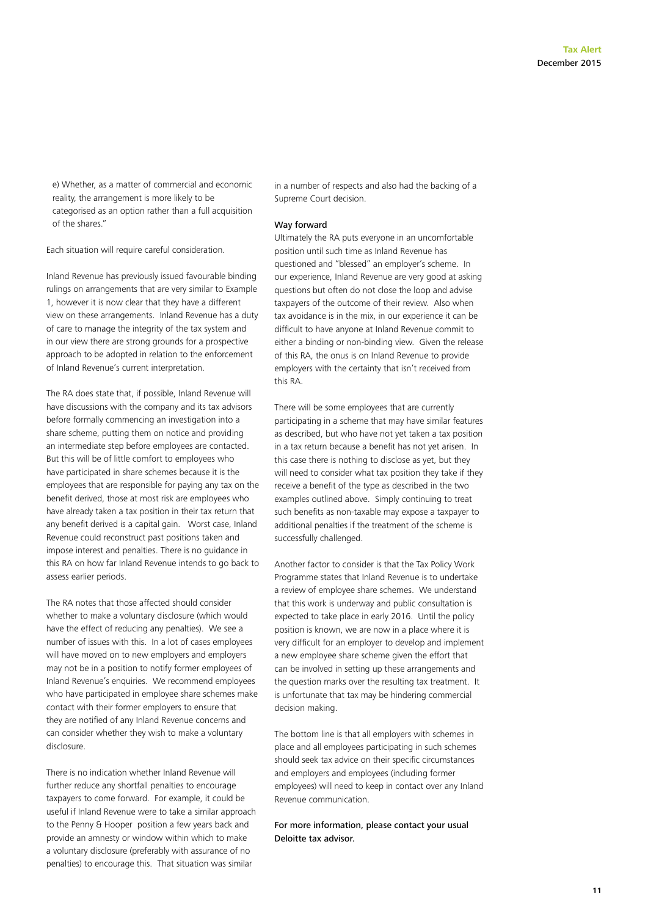e) Whether, as a matter of commercial and economic reality, the arrangement is more likely to be categorised as an option rather than a full acquisition of the shares."

Each situation will require careful consideration.

Inland Revenue has previously issued favourable binding rulings on arrangements that are very similar to Example 1, however it is now clear that they have a different view on these arrangements. Inland Revenue has a duty of care to manage the integrity of the tax system and in our view there are strong grounds for a prospective approach to be adopted in relation to the enforcement of Inland Revenue's current interpretation.

The RA does state that, if possible, Inland Revenue will have discussions with the company and its tax advisors before formally commencing an investigation into a share scheme, putting them on notice and providing an intermediate step before employees are contacted. But this will be of little comfort to employees who have participated in share schemes because it is the employees that are responsible for paying any tax on the benefit derived, those at most risk are employees who have already taken a tax position in their tax return that any benefit derived is a capital gain. Worst case, Inland Revenue could reconstruct past positions taken and impose interest and penalties. There is no guidance in this RA on how far Inland Revenue intends to go back to assess earlier periods.

The RA notes that those affected should consider whether to make a voluntary disclosure (which would have the effect of reducing any penalties). We see a number of issues with this. In a lot of cases employees will have moved on to new employers and employers may not be in a position to notify former employees of Inland Revenue's enquiries. We recommend employees who have participated in employee share schemes make contact with their former employers to ensure that they are notified of any Inland Revenue concerns and can consider whether they wish to make a voluntary disclosure.

There is no indication whether Inland Revenue will further reduce any shortfall penalties to encourage taxpayers to come forward. For example, it could be useful if Inland Revenue were to take a similar approach to the Penny & Hooper position a few years back and provide an amnesty or window within which to make a voluntary disclosure (preferably with assurance of no penalties) to encourage this. That situation was similar

in a number of respects and also had the backing of a Supreme Court decision.

#### Way forward

Ultimately the RA puts everyone in an uncomfortable position until such time as Inland Revenue has questioned and "blessed" an employer's scheme. In our experience, Inland Revenue are very good at asking questions but often do not close the loop and advise taxpayers of the outcome of their review. Also when tax avoidance is in the mix, in our experience it can be difficult to have anyone at Inland Revenue commit to either a binding or non-binding view. Given the release of this RA, the onus is on Inland Revenue to provide employers with the certainty that isn't received from this RA.

There will be some employees that are currently participating in a scheme that may have similar features as described, but who have not yet taken a tax position in a tax return because a benefit has not yet arisen. In this case there is nothing to disclose as yet, but they will need to consider what tax position they take if they receive a benefit of the type as described in the two examples outlined above. Simply continuing to treat such benefits as non-taxable may expose a taxpayer to additional penalties if the treatment of the scheme is successfully challenged.

Another factor to consider is that the Tax Policy Work Programme states that Inland Revenue is to undertake a review of employee share schemes. We understand that this work is underway and public consultation is expected to take place in early 2016. Until the policy position is known, we are now in a place where it is very difficult for an employer to develop and implement a new employee share scheme given the effort that can be involved in setting up these arrangements and the question marks over the resulting tax treatment. It is unfortunate that tax may be hindering commercial decision making.

The bottom line is that all employers with schemes in place and all employees participating in such schemes should seek tax advice on their specific circumstances and employers and employees (including former employees) will need to keep in contact over any Inland Revenue communication.

For more information, please contact your usual Deloitte tax advisor.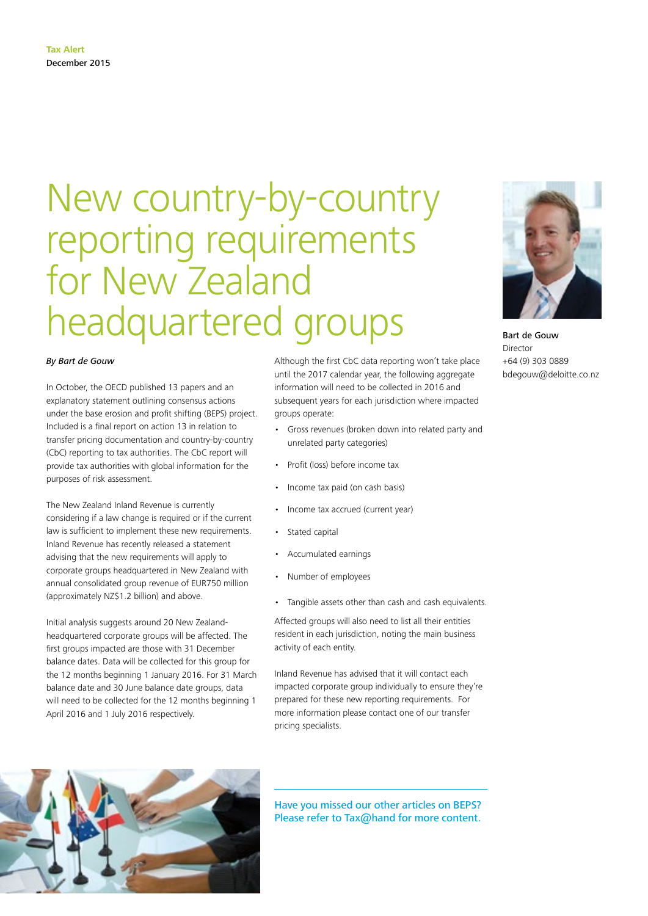### New country-by-country reporting requirements for New Zealand headquartered groups

#### *By Bart de Gouw*

In October, the OECD published 13 papers and an explanatory statement outlining consensus actions under the base erosion and profit shifting (BEPS) project. Included is a final report on action 13 in relation to transfer pricing documentation and country-by-country (CbC) reporting to tax authorities. The CbC report will provide tax authorities with global information for the purposes of risk assessment.

The New Zealand Inland Revenue is currently considering if a law change is required or if the current law is sufficient to implement these new requirements. Inland Revenue has recently released a statement advising that the new requirements will apply to corporate groups headquartered in New Zealand with annual consolidated group revenue of EUR750 million (approximately NZ\$1.2 billion) and above.

Initial analysis suggests around 20 New Zealandheadquartered corporate groups will be affected. The first groups impacted are those with 31 December balance dates. Data will be collected for this group for the 12 months beginning 1 January 2016. For 31 March balance date and 30 June balance date groups, data will need to be collected for the 12 months beginning 1 April 2016 and 1 July 2016 respectively.

Although the first CbC data reporting won't take place until the 2017 calendar year, the following aggregate information will need to be collected in 2016 and subsequent years for each jurisdiction where impacted groups operate:

- Gross revenues (broken down into related party and unrelated party categories)
- Profit (loss) before income tax
- Income tax paid (on cash basis)
- Income tax accrued (current year)
- Stated capital
- Accumulated earnings
- Number of employees
- Tangible assets other than cash and cash equivalents.

Affected groups will also need to list all their entities resident in each jurisdiction, noting the main business activity of each entity.

Inland Revenue has advised that it will contact each impacted corporate group individually to ensure they're prepared for these new reporting requirements. For more information please contact one of our transfer pricing specialists.

Have you missed our other articles on BEPS? Please refer to Tax@hand for more content.



Bart de Gouw Director +64 (9) 303 0889 bdegouw@deloitte.co.nz

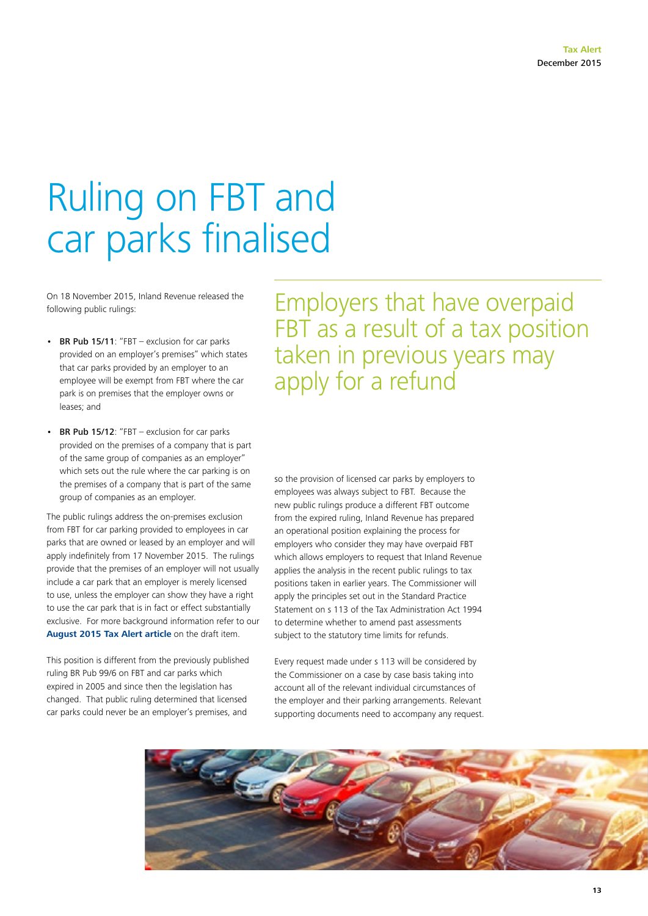### Ruling on FBT and car parks finalised

On 18 November 2015, Inland Revenue released the following public rulings:

- BR Pub 15/11: "FBT exclusion for car parks provided on an employer's premises" which states that car parks provided by an employer to an employee will be exempt from FBT where the car park is on premises that the employer owns or leases; and
- BR Pub 15/12: "FBT exclusion for car parks provided on the premises of a company that is part of the same group of companies as an employer" which sets out the rule where the car parking is on the premises of a company that is part of the same group of companies as an employer.

The public rulings address the on-premises exclusion from FBT for car parking provided to employees in car parks that are owned or leased by an employer and will apply indefinitely from 17 November 2015. The rulings provide that the premises of an employer will not usually include a car park that an employer is merely licensed to use, unless the employer can show they have a right to use the car park that is in fact or effect substantially exclusive. For more background information refer to our **[August 2015 Tax Alert article](http://www2.deloitte.com/nz/en/pages/tax-alerts/articles/tax-alert-august-2015.html)** on the draft item.

This position is different from the previously published ruling BR Pub 99/6 on FBT and car parks which expired in 2005 and since then the legislation has changed. That public ruling determined that licensed car parks could never be an employer's premises, and

Employers that have overpaid FBT as a result of a tax position taken in previous years may apply for a refund

so the provision of licensed car parks by employers to employees was always subject to FBT. Because the new public rulings produce a different FBT outcome from the expired ruling, Inland Revenue has prepared an operational position explaining the process for employers who consider they may have overpaid FBT which allows employers to request that Inland Revenue applies the analysis in the recent public rulings to tax positions taken in earlier years. The Commissioner will apply the principles set out in the Standard Practice Statement on s 113 of the Tax Administration Act 1994 to determine whether to amend past assessments subject to the statutory time limits for refunds.

Every request made under s 113 will be considered by the Commissioner on a case by case basis taking into account all of the relevant individual circumstances of the employer and their parking arrangements. Relevant supporting documents need to accompany any request.

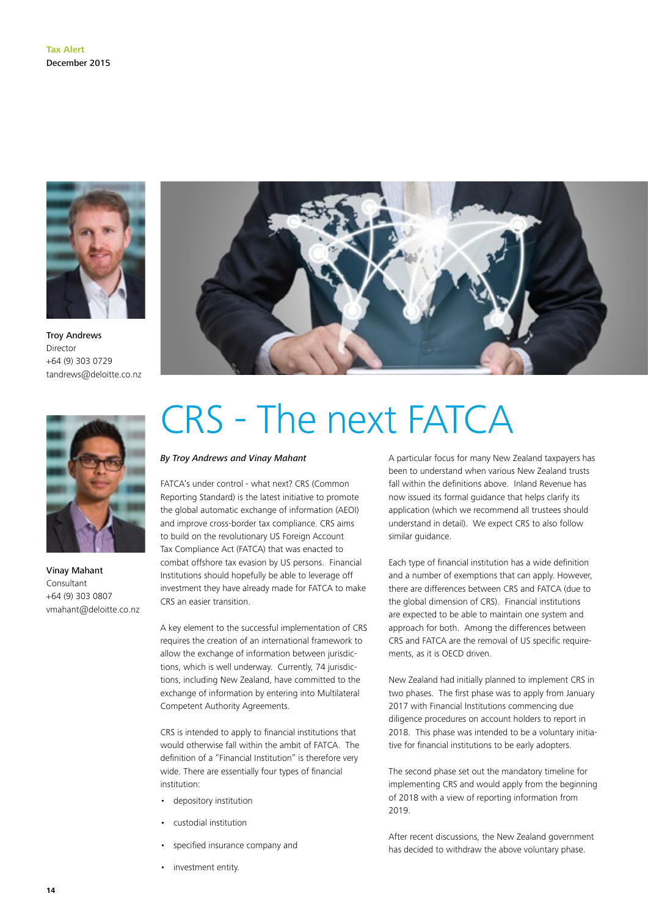

Troy Andrews Director +64 (9) 303 0729 tandrews@deloitte.co.nz



Vinay Mahant Consultant +64 (9) 303 0807 vmahant@deloitte.co.nz



## CRS - The next FATCA

#### *By Troy Andrews and Vinay Mahant*

FATCA's under control - what next? CRS (Common Reporting Standard) is the latest initiative to promote the global automatic exchange of information (AEOI) and improve cross-border tax compliance. CRS aims to build on the revolutionary US Foreign Account Tax Compliance Act (FATCA) that was enacted to combat offshore tax evasion by US persons. Financial Institutions should hopefully be able to leverage off investment they have already made for FATCA to make CRS an easier transition.

A key element to the successful implementation of CRS requires the creation of an international framework to allow the exchange of information between jurisdictions, which is well underway. Currently, 74 jurisdictions, including New Zealand, have committed to the exchange of information by entering into Multilateral Competent Authority Agreements.

CRS is intended to apply to financial institutions that would otherwise fall within the ambit of FATCA. The definition of a "Financial Institution" is therefore very wide. There are essentially four types of financial institution:

- depository institution
- custodial institution
- specified insurance company and
- investment entity.

A particular focus for many New Zealand taxpayers has been to understand when various New Zealand trusts fall within the definitions above. Inland Revenue has now issued its formal guidance that helps clarify its application (which we recommend all trustees should understand in detail). We expect CRS to also follow similar guidance.

Each type of financial institution has a wide definition and a number of exemptions that can apply. However, there are differences between CRS and FATCA (due to the global dimension of CRS). Financial institutions are expected to be able to maintain one system and approach for both. Among the differences between CRS and FATCA are the removal of US specific requirements, as it is OECD driven.

New Zealand had initially planned to implement CRS in two phases. The first phase was to apply from January 2017 with Financial Institutions commencing due diligence procedures on account holders to report in 2018. This phase was intended to be a voluntary initiative for financial institutions to be early adopters.

The second phase set out the mandatory timeline for implementing CRS and would apply from the beginning of 2018 with a view of reporting information from 2019.

After recent discussions, the New Zealand government has decided to withdraw the above voluntary phase.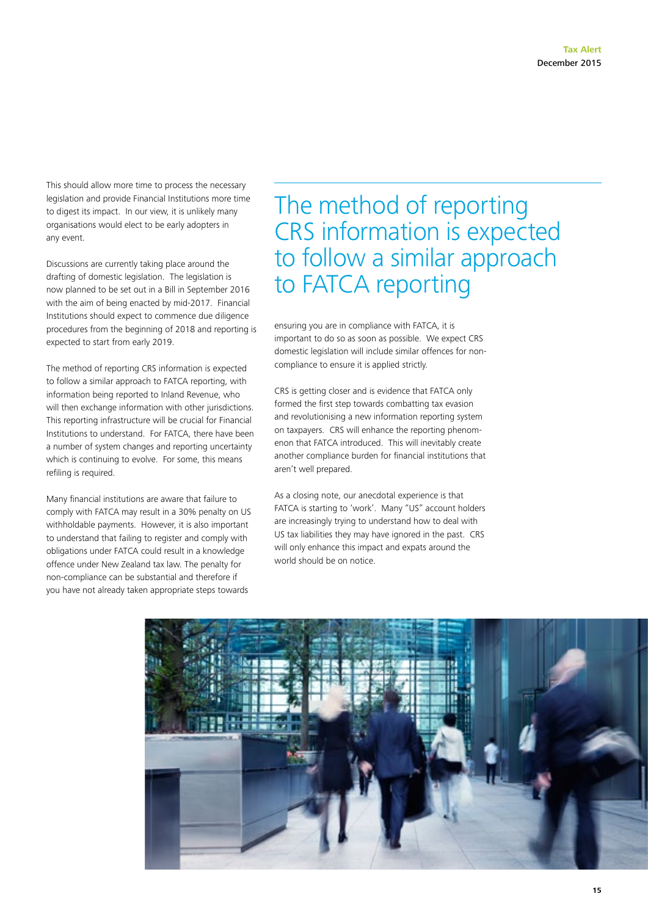This should allow more time to process the necessary legislation and provide Financial Institutions more time to digest its impact. In our view, it is unlikely many organisations would elect to be early adopters in any event.

Discussions are currently taking place around the drafting of domestic legislation. The legislation is now planned to be set out in a Bill in September 2016 with the aim of being enacted by mid-2017. Financial Institutions should expect to commence due diligence procedures from the beginning of 2018 and reporting is expected to start from early 2019.

The method of reporting CRS information is expected to follow a similar approach to FATCA reporting, with information being reported to Inland Revenue, who will then exchange information with other jurisdictions. This reporting infrastructure will be crucial for Financial Institutions to understand. For FATCA, there have been a number of system changes and reporting uncertainty which is continuing to evolve. For some, this means refiling is required.

Many financial institutions are aware that failure to comply with FATCA may result in a 30% penalty on US withholdable payments. However, it is also important to understand that failing to register and comply with obligations under FATCA could result in a knowledge offence under New Zealand tax law. The penalty for non-compliance can be substantial and therefore if you have not already taken appropriate steps towards

### The method of reporting CRS information is expected to follow a similar approach to FATCA reporting

ensuring you are in compliance with FATCA, it is important to do so as soon as possible. We expect CRS domestic legislation will include similar offences for noncompliance to ensure it is applied strictly.

CRS is getting closer and is evidence that FATCA only formed the first step towards combatting tax evasion and revolutionising a new information reporting system on taxpayers. CRS will enhance the reporting phenomenon that FATCA introduced. This will inevitably create another compliance burden for financial institutions that aren't well prepared.

As a closing note, our anecdotal experience is that FATCA is starting to 'work'. Many "US" account holders are increasingly trying to understand how to deal with US tax liabilities they may have ignored in the past. CRS will only enhance this impact and expats around the world should be on notice.